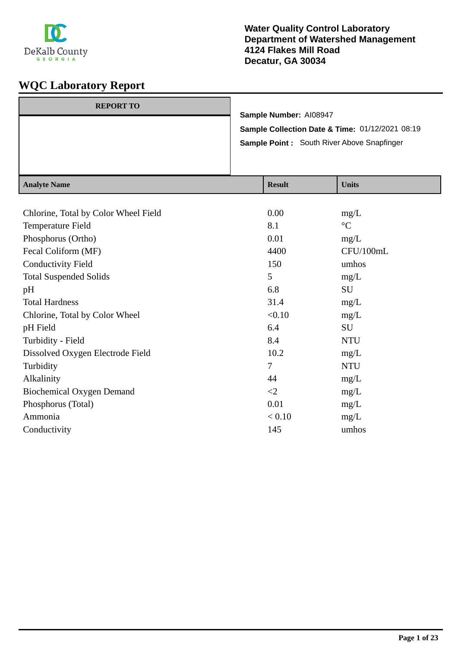

| <b>REPORT TO</b> | Sample Number: AI08947                          |
|------------------|-------------------------------------------------|
|                  | Sample Collection Date & Time: 01/12/2021 08:19 |
|                  | Sample Point: South River Above Snapfinger      |
|                  |                                                 |

| <b>Analyte Name</b>                  | <b>Result</b> | <b>Units</b>    |
|--------------------------------------|---------------|-----------------|
|                                      |               |                 |
| Chlorine, Total by Color Wheel Field | 0.00          | mg/L            |
| Temperature Field                    | 8.1           | $\rm ^{\circ}C$ |
| Phosphorus (Ortho)                   | 0.01          | mg/L            |
| Fecal Coliform (MF)                  | 4400          | CFU/100mL       |
| <b>Conductivity Field</b>            | 150           | umhos           |
| <b>Total Suspended Solids</b>        | 5             | mg/L            |
| pH                                   | 6.8           | <b>SU</b>       |
| <b>Total Hardness</b>                | 31.4          | mg/L            |
| Chlorine, Total by Color Wheel       | < 0.10        | mg/L            |
| pH Field                             | 6.4           | <b>SU</b>       |
| Turbidity - Field                    | 8.4           | <b>NTU</b>      |
| Dissolved Oxygen Electrode Field     | 10.2          | mg/L            |
| Turbidity                            | 7             | <b>NTU</b>      |
| Alkalinity                           | 44            | mg/L            |
| <b>Biochemical Oxygen Demand</b>     | $\leq$        | mg/L            |
| Phosphorus (Total)                   | 0.01          | mg/L            |
| Ammonia                              | < 0.10        | mg/L            |
| Conductivity                         | 145           | umhos           |
|                                      |               |                 |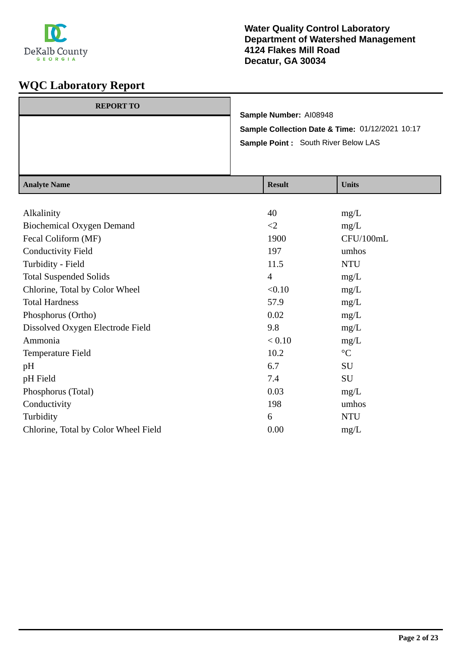

| <b>REPORT TO</b> |                                                 |
|------------------|-------------------------------------------------|
|                  | Sample Number: AI08948                          |
|                  | Sample Collection Date & Time: 01/12/2021 10:17 |
|                  | Sample Point : South River Below LAS            |
|                  |                                                 |
|                  |                                                 |

| <b>Analyte Name</b>                  | <b>Result</b>  | <b>Units</b>    |
|--------------------------------------|----------------|-----------------|
|                                      |                |                 |
| Alkalinity                           | 40             | mg/L            |
| <b>Biochemical Oxygen Demand</b>     | $\leq$ 2       | mg/L            |
| Fecal Coliform (MF)                  | 1900           | CFU/100mL       |
| <b>Conductivity Field</b>            | 197            | umhos           |
| Turbidity - Field                    | 11.5           | <b>NTU</b>      |
| <b>Total Suspended Solids</b>        | $\overline{4}$ | mg/L            |
| Chlorine, Total by Color Wheel       | < 0.10         | mg/L            |
| <b>Total Hardness</b>                | 57.9           | mg/L            |
| Phosphorus (Ortho)                   | 0.02           | mg/L            |
| Dissolved Oxygen Electrode Field     | 9.8            | mg/L            |
| Ammonia                              | < 0.10         | mg/L            |
| Temperature Field                    | 10.2           | $\rm ^{\circ}C$ |
| pH                                   | 6.7            | SU              |
| pH Field                             | 7.4            | SU              |
| Phosphorus (Total)                   | 0.03           | mg/L            |
| Conductivity                         | 198            | umhos           |
| Turbidity                            | 6              | <b>NTU</b>      |
| Chlorine, Total by Color Wheel Field | 0.00           | mg/L            |
|                                      |                |                 |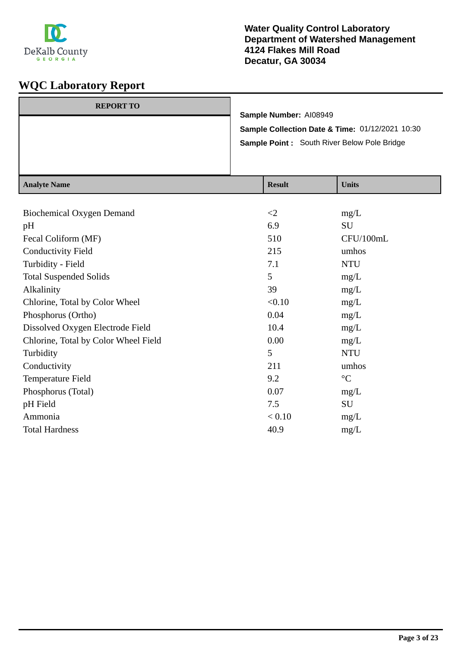

| $A$ notre Nome   |                                                                                                |                        |  |
|------------------|------------------------------------------------------------------------------------------------|------------------------|--|
|                  | Sample Collection Date & Time: 01/12/2021 10:30<br>Sample Point: South River Below Pole Bridge |                        |  |
|                  |                                                                                                | Sample Number: AI08949 |  |
| <b>REPORT TO</b> |                                                                                                |                        |  |

| <b>Analyte Name</b>                  | <b>Result</b> | <b>Units</b>    |
|--------------------------------------|---------------|-----------------|
|                                      |               |                 |
| <b>Biochemical Oxygen Demand</b>     | $\leq$ 2      | mg/L            |
| pH                                   | 6.9           | SU              |
| Fecal Coliform (MF)                  | 510           | CFU/100mL       |
| <b>Conductivity Field</b>            | 215           | umhos           |
| Turbidity - Field                    | 7.1           | <b>NTU</b>      |
| <b>Total Suspended Solids</b>        | 5             | mg/L            |
| Alkalinity                           | 39            | mg/L            |
| Chlorine, Total by Color Wheel       | < 0.10        | mg/L            |
| Phosphorus (Ortho)                   | 0.04          | mg/L            |
| Dissolved Oxygen Electrode Field     | 10.4          | mg/L            |
| Chlorine, Total by Color Wheel Field | 0.00          | mg/L            |
| Turbidity                            | 5             | <b>NTU</b>      |
| Conductivity                         | 211           | umhos           |
| Temperature Field                    | 9.2           | $\rm ^{\circ}C$ |
| Phosphorus (Total)                   | 0.07          | mg/L            |
| pH Field                             | 7.5           | SU              |
| Ammonia                              | < 0.10        | mg/L            |
| <b>Total Hardness</b>                | 40.9          | mg/L            |
|                                      |               |                 |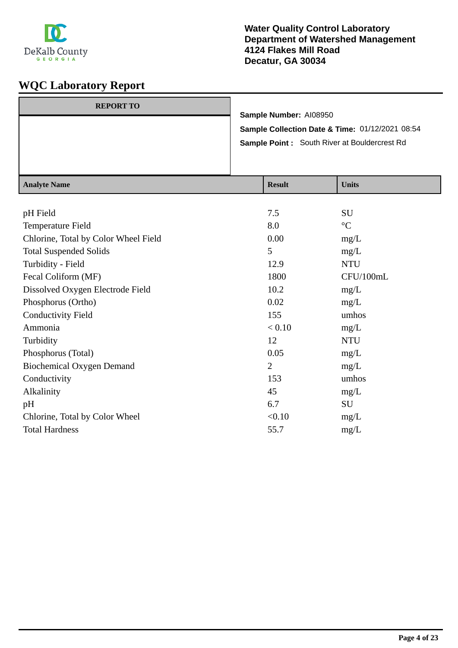

| <b>REPORT TO</b> |                                                     |
|------------------|-----------------------------------------------------|
|                  | Sample Number: AI08950                              |
|                  | Sample Collection Date & Time: 01/12/2021 08:54     |
|                  | <b>Sample Point:</b> South River at Bouldercrest Rd |
|                  |                                                     |
|                  |                                                     |

| <b>Analyte Name</b>                  | <b>Result</b>  | <b>Units</b>    |
|--------------------------------------|----------------|-----------------|
|                                      |                |                 |
| pH Field                             | 7.5            | <b>SU</b>       |
| Temperature Field                    | 8.0            | $\rm ^{\circ}C$ |
| Chlorine, Total by Color Wheel Field | 0.00           | mg/L            |
| <b>Total Suspended Solids</b>        | 5              | mg/L            |
| Turbidity - Field                    | 12.9           | <b>NTU</b>      |
| Fecal Coliform (MF)                  | 1800           | CFU/100mL       |
| Dissolved Oxygen Electrode Field     | 10.2           | mg/L            |
| Phosphorus (Ortho)                   | 0.02           | mg/L            |
| <b>Conductivity Field</b>            | 155            | umhos           |
| Ammonia                              | < 0.10         | mg/L            |
| Turbidity                            | 12             | <b>NTU</b>      |
| Phosphorus (Total)                   | 0.05           | mg/L            |
| <b>Biochemical Oxygen Demand</b>     | $\overline{2}$ | mg/L            |
| Conductivity                         | 153            | umhos           |
| Alkalinity                           | 45             | mg/L            |
| pH                                   | 6.7            | SU              |
| Chlorine, Total by Color Wheel       | < 0.10         | mg/L            |
| <b>Total Hardness</b>                | 55.7           | mg/L            |
|                                      |                |                 |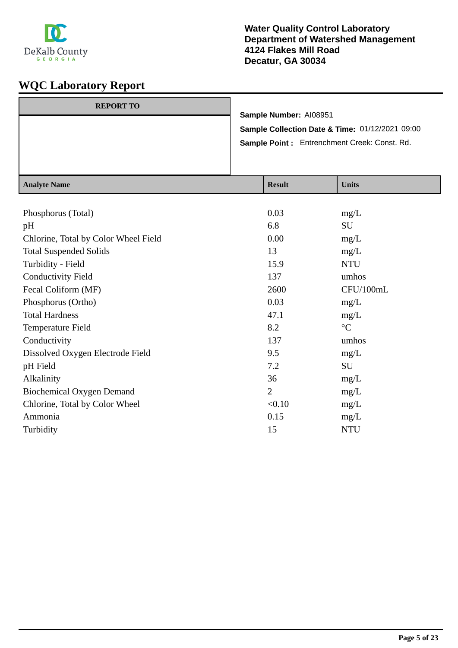

| <b>REPORT TO</b>         |                                                                                                 | Sample Number: AI08951    |             |
|--------------------------|-------------------------------------------------------------------------------------------------|---------------------------|-------------|
|                          | Sample Collection Date & Time: 01/12/2021 09:00<br>Sample Point: Entrenchment Creek: Const. Rd. |                           |             |
|                          |                                                                                                 |                           |             |
|                          |                                                                                                 |                           |             |
|                          |                                                                                                 |                           |             |
| $A = -1$ $-4$ $ N$ $  -$ |                                                                                                 | $\mathbf{D}$ $\mathbf{L}$ | $TT - 24 -$ |

| <b>Analyte Name</b>                  | <b>Result</b>  | <b>Units</b>    |
|--------------------------------------|----------------|-----------------|
|                                      |                |                 |
| Phosphorus (Total)                   | 0.03           | mg/L            |
| pH                                   | 6.8            | SU              |
| Chlorine, Total by Color Wheel Field | 0.00           | mg/L            |
| <b>Total Suspended Solids</b>        | 13             | mg/L            |
| Turbidity - Field                    | 15.9           | <b>NTU</b>      |
| <b>Conductivity Field</b>            | 137            | umhos           |
| Fecal Coliform (MF)                  | 2600           | CFU/100mL       |
| Phosphorus (Ortho)                   | 0.03           | mg/L            |
| <b>Total Hardness</b>                | 47.1           | mg/L            |
| Temperature Field                    | 8.2            | $\rm ^{\circ}C$ |
| Conductivity                         | 137            | umhos           |
| Dissolved Oxygen Electrode Field     | 9.5            | mg/L            |
| pH Field                             | 7.2            | SU              |
| Alkalinity                           | 36             | mg/L            |
| <b>Biochemical Oxygen Demand</b>     | $\overline{2}$ | mg/L            |
| Chlorine, Total by Color Wheel       | < 0.10         | mg/L            |
| Ammonia                              | 0.15           | mg/L            |
| Turbidity                            | 15             | <b>NTU</b>      |
|                                      |                |                 |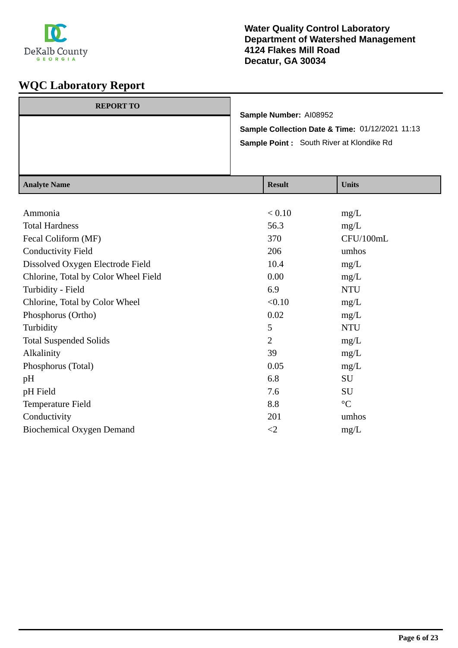

| <b>REPORT TO</b> | Sample Number: AI08952                          |
|------------------|-------------------------------------------------|
|                  | Sample Collection Date & Time: 01/12/2021 11:13 |
|                  | <b>Sample Point:</b> South River at Klondike Rd |
|                  |                                                 |

| <b>Analyte Name</b>                  | <b>Result</b>  | <b>Units</b>    |
|--------------------------------------|----------------|-----------------|
|                                      |                |                 |
| Ammonia                              | < 0.10         | mg/L            |
| <b>Total Hardness</b>                | 56.3           | mg/L            |
| Fecal Coliform (MF)                  | 370            | CFU/100mL       |
| <b>Conductivity Field</b>            | 206            | umhos           |
| Dissolved Oxygen Electrode Field     | 10.4           | mg/L            |
| Chlorine, Total by Color Wheel Field | 0.00           | mg/L            |
| Turbidity - Field                    | 6.9            | <b>NTU</b>      |
| Chlorine, Total by Color Wheel       | < 0.10         | mg/L            |
| Phosphorus (Ortho)                   | 0.02           | mg/L            |
| Turbidity                            | 5              | <b>NTU</b>      |
| <b>Total Suspended Solids</b>        | $\overline{2}$ | mg/L            |
| Alkalinity                           | 39             | mg/L            |
| Phosphorus (Total)                   | 0.05           | mg/L            |
| pH                                   | 6.8            | SU              |
| pH Field                             | 7.6            | SU              |
| Temperature Field                    | 8.8            | $\rm ^{\circ}C$ |
| Conductivity                         | 201            | umhos           |
| <b>Biochemical Oxygen Demand</b>     | $\leq$ 2       | mg/L            |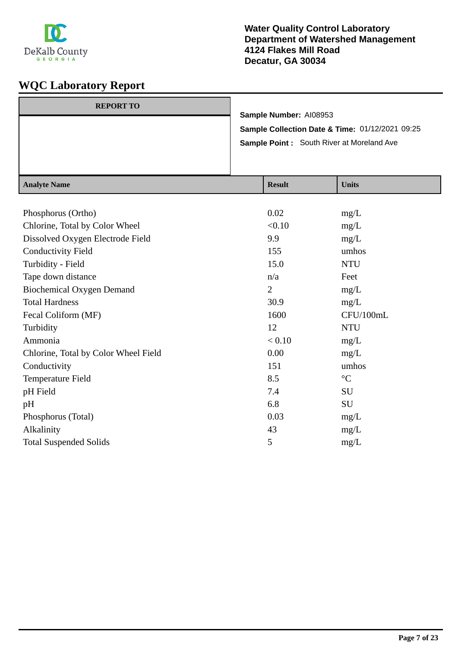

| <b>REPORT TO</b> |                                                  |
|------------------|--------------------------------------------------|
|                  | Sample Number: AI08953                           |
|                  | Sample Collection Date & Time: 01/12/2021 09:25  |
|                  | <b>Sample Point:</b> South River at Moreland Ave |
|                  |                                                  |
|                  |                                                  |

| <b>Analyte Name</b>                  | <b>Result</b>  | <b>Units</b>    |
|--------------------------------------|----------------|-----------------|
|                                      |                |                 |
| Phosphorus (Ortho)                   | 0.02           | mg/L            |
| Chlorine, Total by Color Wheel       | < 0.10         | mg/L            |
| Dissolved Oxygen Electrode Field     | 9.9            | mg/L            |
| <b>Conductivity Field</b>            | 155            | umhos           |
| Turbidity - Field                    | 15.0           | <b>NTU</b>      |
| Tape down distance                   | n/a            | Feet            |
| <b>Biochemical Oxygen Demand</b>     | $\overline{2}$ | mg/L            |
| <b>Total Hardness</b>                | 30.9           | mg/L            |
| Fecal Coliform (MF)                  | 1600           | CFU/100mL       |
| Turbidity                            | 12             | <b>NTU</b>      |
| Ammonia                              | < 0.10         | mg/L            |
| Chlorine, Total by Color Wheel Field | 0.00           | mg/L            |
| Conductivity                         | 151            | umhos           |
| Temperature Field                    | 8.5            | $\rm ^{\circ}C$ |
| pH Field                             | 7.4            | SU              |
| pH                                   | 6.8            | SU              |
| Phosphorus (Total)                   | 0.03           | mg/L            |
| Alkalinity                           | 43             | mg/L            |
| <b>Total Suspended Solids</b>        | 5              | mg/L            |
|                                      |                |                 |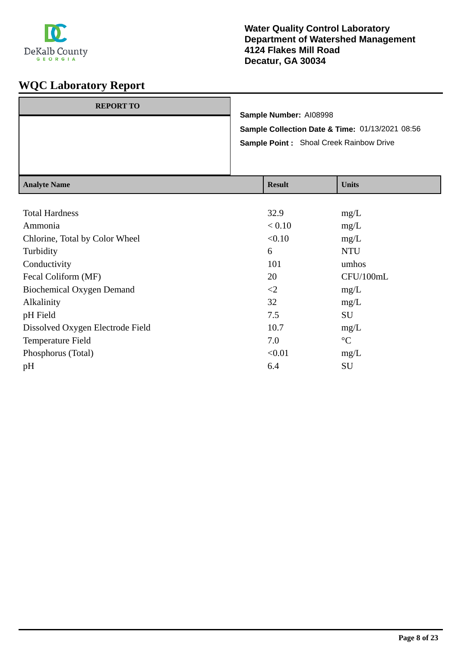

| <b>REPORT TO</b> | Sample Number: AI08998                                     |  |  |
|------------------|------------------------------------------------------------|--|--|
|                  | <b>Sample Collection Date &amp; Time: 01/13/2021 08:56</b> |  |  |
|                  | <b>Sample Point:</b> Shoal Creek Rainbow Drive             |  |  |
|                  |                                                            |  |  |

| <b>Analyte Name</b>              | <b>Result</b> | <b>Units</b>    |
|----------------------------------|---------------|-----------------|
|                                  |               |                 |
| <b>Total Hardness</b>            | 32.9          | mg/L            |
| Ammonia                          | < 0.10        | mg/L            |
| Chlorine, Total by Color Wheel   | < 0.10        | mg/L            |
| Turbidity                        | 6             | <b>NTU</b>      |
| Conductivity                     | 101           | umhos           |
| Fecal Coliform (MF)              | 20            | CFU/100mL       |
| Biochemical Oxygen Demand        | $\leq$        | mg/L            |
| Alkalinity                       | 32            | mg/L            |
| pH Field                         | 7.5           | <b>SU</b>       |
| Dissolved Oxygen Electrode Field | 10.7          | mg/L            |
| Temperature Field                | 7.0           | $\rm ^{\circ}C$ |
| Phosphorus (Total)               | < 0.01        | mg/L            |
| pH                               | 6.4           | SU              |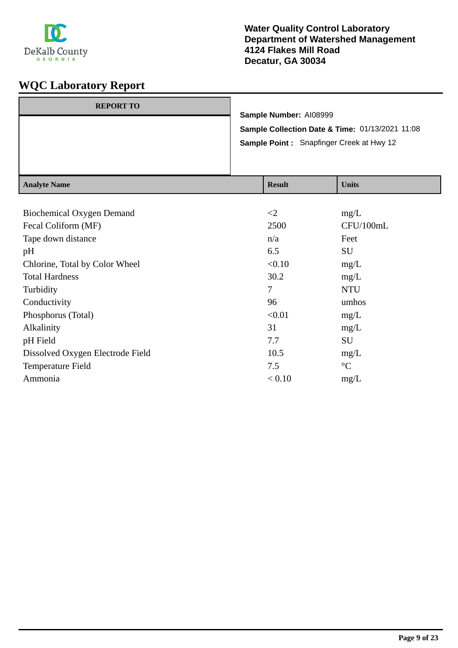

| <b>REPORT TO</b>         | Sample Number: AI08999                          |             |
|--------------------------|-------------------------------------------------|-------------|
|                          | Sample Collection Date & Time: 01/13/2021 11:08 |             |
|                          | Sample Point: Snapfinger Creek at Hwy 12        |             |
|                          |                                                 |             |
|                          |                                                 |             |
| $A = -1$ $-4$ $ N$ $  -$ | $\mathbf{D}$ $\mathbf{L}$                       | $TT - 24 -$ |

| <b>Analyte Name</b>              | <b>Result</b> | <b>Units</b>    |
|----------------------------------|---------------|-----------------|
|                                  |               |                 |
| <b>Biochemical Oxygen Demand</b> | $\leq$ 2      | mg/L            |
| Fecal Coliform (MF)              | 2500          | CFU/100mL       |
| Tape down distance               | n/a           | Feet            |
| pH                               | 6.5           | <b>SU</b>       |
| Chlorine, Total by Color Wheel   | < 0.10        | mg/L            |
| <b>Total Hardness</b>            | 30.2          | mg/L            |
| Turbidity                        | 7             | <b>NTU</b>      |
| Conductivity                     | 96            | umhos           |
| Phosphorus (Total)               | < 0.01        | mg/L            |
| Alkalinity                       | 31            | mg/L            |
| pH Field                         | 7.7           | <b>SU</b>       |
| Dissolved Oxygen Electrode Field | 10.5          | mg/L            |
| Temperature Field                | 7.5           | $\rm ^{\circ}C$ |
| Ammonia                          | < 0.10        | mg/L            |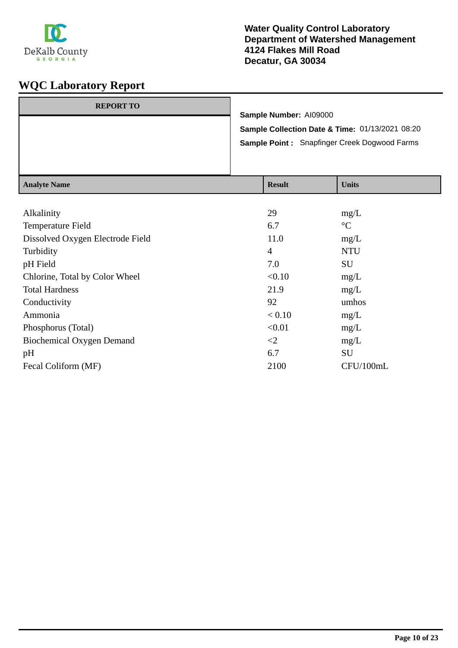

| <b>REPORT TO</b> | Sample Number: A109000                              |
|------------------|-----------------------------------------------------|
|                  | Sample Collection Date & Time: 01/13/2021 08:20     |
|                  | <b>Sample Point: Snapfinger Creek Dogwood Farms</b> |
|                  |                                                     |
|                  |                                                     |

| <b>Result</b> | <b>Units</b>    |
|---------------|-----------------|
|               |                 |
| 29            | mg/L            |
| 6.7           | $\rm ^{\circ}C$ |
| 11.0          | mg/L            |
| 4             | <b>NTU</b>      |
| 7.0           | SU              |
| < 0.10        | mg/L            |
| 21.9          | mg/L            |
| 92            | umhos           |
| < 0.10        | mg/L            |
| < 0.01        | mg/L            |
| $\leq$        | mg/L            |
| 6.7           | SU              |
| 2100          | CFU/100mL       |
|               |                 |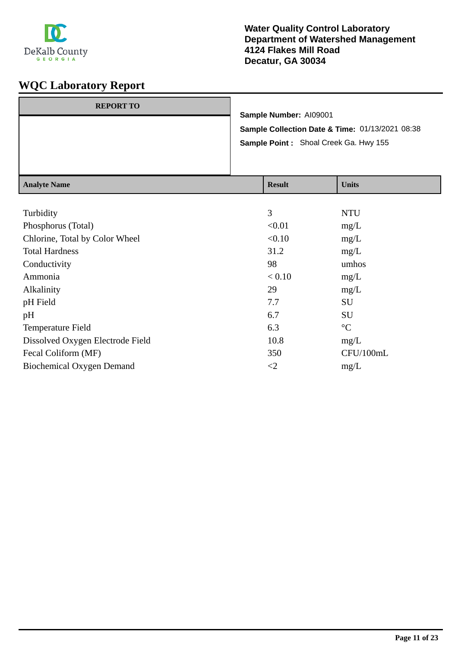

| <b>REPORT TO</b> | Sample Number: A109001                          |
|------------------|-------------------------------------------------|
|                  | Sample Collection Date & Time: 01/13/2021 08:38 |
|                  | Sample Point: Shoal Creek Ga. Hwy 155           |
|                  |                                                 |

| <b>Analyte Name</b>              | <b>Result</b> | <b>Units</b>    |
|----------------------------------|---------------|-----------------|
|                                  |               |                 |
| Turbidity                        | 3             | <b>NTU</b>      |
| Phosphorus (Total)               | < 0.01        | mg/L            |
| Chlorine, Total by Color Wheel   | < 0.10        | mg/L            |
| <b>Total Hardness</b>            | 31.2          | mg/L            |
| Conductivity                     | 98            | umhos           |
| Ammonia                          | < 0.10        | mg/L            |
| Alkalinity                       | 29            | mg/L            |
| pH Field                         | 7.7           | <b>SU</b>       |
| pH                               | 6.7           | <b>SU</b>       |
| Temperature Field                | 6.3           | $\rm ^{\circ}C$ |
| Dissolved Oxygen Electrode Field | 10.8          | mg/L            |
| Fecal Coliform (MF)              | 350           | CFU/100mL       |
| <b>Biochemical Oxygen Demand</b> | $\leq$ 2      | mg/L            |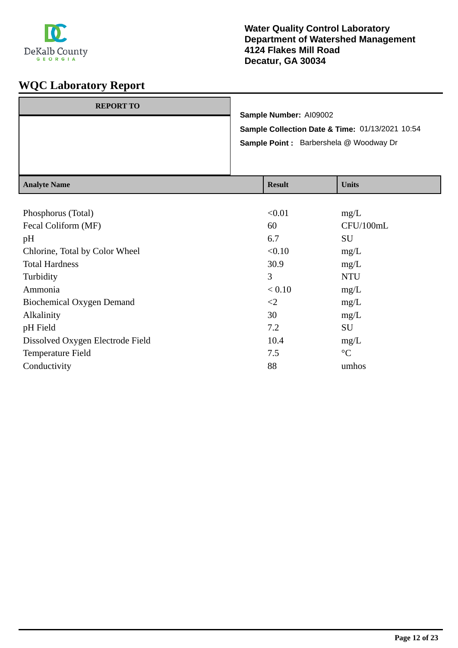

| <b>REPORT TO</b> |                                                 |                            | Sample Number: AI09002 |                                          |
|------------------|-------------------------------------------------|----------------------------|------------------------|------------------------------------------|
|                  | Sample Collection Date & Time: 01/13/2021 10:54 |                            |                        |                                          |
|                  | <b>Sample Point:</b> Barbershela @ Woodway Dr   |                            |                        |                                          |
|                  |                                                 |                            |                        |                                          |
|                  |                                                 |                            |                        |                                          |
| $A$ notre Nome   |                                                 | $\mathbf{D}_{\alpha}$ . 14 |                        | $\mathbf{H}$ <sub>m</sub> : $\mathbf{L}$ |

| Analyte Name                     | <b>Result</b> | UNUS            |
|----------------------------------|---------------|-----------------|
|                                  |               |                 |
| Phosphorus (Total)               | < 0.01        | mg/L            |
| Fecal Coliform (MF)              | 60            | CFU/100mL       |
| pH                               | 6.7           | SU              |
| Chlorine, Total by Color Wheel   | < 0.10        | mg/L            |
| <b>Total Hardness</b>            | 30.9          | mg/L            |
| Turbidity                        | 3             | <b>NTU</b>      |
| Ammonia                          | < 0.10        | mg/L            |
| Biochemical Oxygen Demand        | $\leq$ 2      | mg/L            |
| Alkalinity                       | 30            | mg/L            |
| pH Field                         | 7.2           | SU              |
| Dissolved Oxygen Electrode Field | 10.4          | mg/L            |
| Temperature Field                | 7.5           | $\rm ^{\circ}C$ |
| Conductivity                     | 88            | umhos           |
|                                  |               |                 |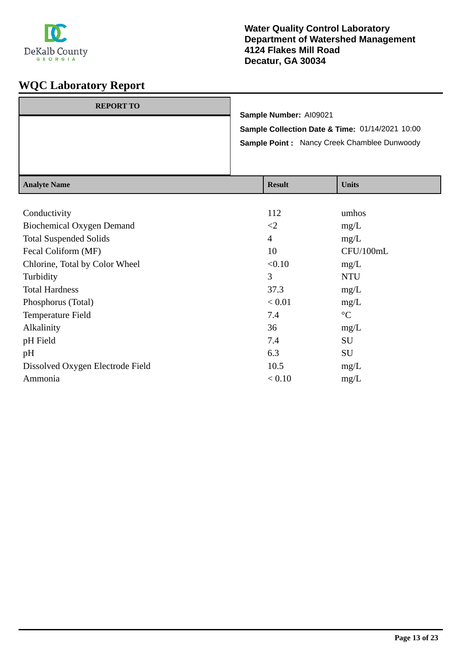

| <b>REPORT TO</b> |                                                    |
|------------------|----------------------------------------------------|
|                  | Sample Number: A109021                             |
|                  | Sample Collection Date & Time: 01/14/2021 10:00    |
|                  | <b>Sample Point: Nancy Creek Chamblee Dunwoody</b> |
|                  |                                                    |
|                  |                                                    |

| <b>Analyte Name</b>              | <b>Result</b>  | <b>Units</b>    |
|----------------------------------|----------------|-----------------|
|                                  |                |                 |
| Conductivity                     | 112            | umhos           |
| <b>Biochemical Oxygen Demand</b> | $\leq$ 2       | mg/L            |
| <b>Total Suspended Solids</b>    | $\overline{4}$ | mg/L            |
| Fecal Coliform (MF)              | 10             | CFU/100mL       |
| Chlorine, Total by Color Wheel   | < 0.10         | mg/L            |
| Turbidity                        | 3              | <b>NTU</b>      |
| <b>Total Hardness</b>            | 37.3           | mg/L            |
| Phosphorus (Total)               | < 0.01         | mg/L            |
| Temperature Field                | 7.4            | $\rm ^{\circ}C$ |
| Alkalinity                       | 36             | mg/L            |
| pH Field                         | 7.4            | SU              |
| pH                               | 6.3            | SU              |
| Dissolved Oxygen Electrode Field | 10.5           | mg/L            |
| Ammonia                          | < 0.10         | mg/L            |
|                                  |                |                 |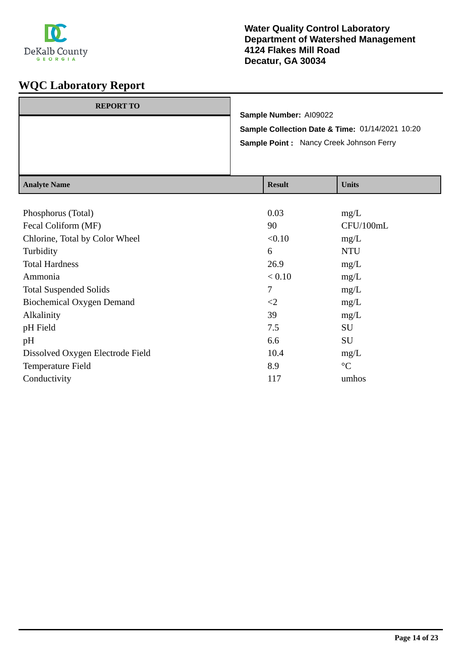

| $A = -1 - 4 - N$ |                                                                                                                      | $\mathbf{D}$ $\mathbf{L}$ | $TT - 24 -$ |
|------------------|----------------------------------------------------------------------------------------------------------------------|---------------------------|-------------|
|                  | Sample Number: AI09022<br>Sample Collection Date & Time: 01/14/2021 10:20<br>Sample Point: Nancy Creek Johnson Ferry |                           |             |
|                  |                                                                                                                      |                           |             |
| <b>REPORT TO</b> |                                                                                                                      |                           |             |
|                  |                                                                                                                      |                           |             |

| <b>Analyte Name</b>              | <b>Result</b> | <b>Units</b>    |
|----------------------------------|---------------|-----------------|
|                                  |               |                 |
| Phosphorus (Total)               | 0.03          | mg/L            |
| Fecal Coliform (MF)              | 90            | CFU/100mL       |
| Chlorine, Total by Color Wheel   | < 0.10        | mg/L            |
| Turbidity                        | 6             | <b>NTU</b>      |
| <b>Total Hardness</b>            | 26.9          | mg/L            |
| Ammonia                          | < 0.10        | mg/L            |
| <b>Total Suspended Solids</b>    | 7             | mg/L            |
| <b>Biochemical Oxygen Demand</b> | $\leq$ 2      | mg/L            |
| Alkalinity                       | 39            | mg/L            |
| pH Field                         | 7.5           | SU              |
| pH                               | 6.6           | SU              |
| Dissolved Oxygen Electrode Field | 10.4          | mg/L            |
| Temperature Field                | 8.9           | $\rm ^{\circ}C$ |
| Conductivity                     | 117           | umhos           |
|                                  |               |                 |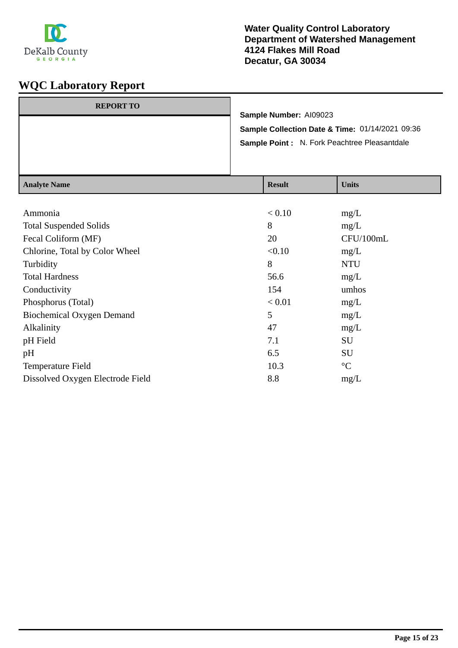

| <b>REPORT TO</b> | Sample Number: AI09023                              |
|------------------|-----------------------------------------------------|
|                  | Sample Collection Date & Time: 01/14/2021 09:36     |
|                  | <b>Sample Point: N. Fork Peachtree Pleasantdale</b> |
|                  |                                                     |

| <b>Result</b> | <b>Units</b>    |
|---------------|-----------------|
|               |                 |
| < 0.10        | mg/L            |
| 8             | mg/L            |
| 20            | CFU/100mL       |
| < 0.10        | mg/L            |
| 8             | <b>NTU</b>      |
| 56.6          | mg/L            |
| 154           | umhos           |
| < 0.01        | mg/L            |
| 5             | mg/L            |
| 47            | mg/L            |
| 7.1           | SU              |
| 6.5           | SU              |
| 10.3          | $\rm ^{\circ}C$ |
| 8.8           | mg/L            |
|               |                 |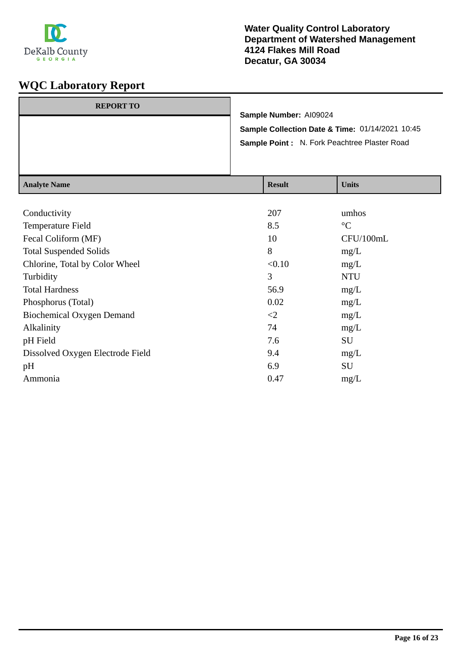

| <b>REPORT TO</b> |                                                 |
|------------------|-------------------------------------------------|
|                  | Sample Number: AI09024                          |
|                  | Sample Collection Date & Time: 01/14/2021 10:45 |
|                  | Sample Point: N. Fork Peachtree Plaster Road    |
|                  |                                                 |
|                  |                                                 |

| <b>Analyte Name</b>              | <b>Result</b> | <b>Units</b>    |
|----------------------------------|---------------|-----------------|
|                                  |               |                 |
| Conductivity                     | 207           | umhos           |
| Temperature Field                | 8.5           | $\rm ^{\circ}C$ |
| Fecal Coliform (MF)              | 10            | CFU/100mL       |
| <b>Total Suspended Solids</b>    | 8             | mg/L            |
| Chlorine, Total by Color Wheel   | < 0.10        | mg/L            |
| Turbidity                        | 3             | <b>NTU</b>      |
| <b>Total Hardness</b>            | 56.9          | mg/L            |
| Phosphorus (Total)               | 0.02          | mg/L            |
| <b>Biochemical Oxygen Demand</b> | $\leq$        | mg/L            |
| Alkalinity                       | 74            | mg/L            |
| pH Field                         | 7.6           | SU              |
| Dissolved Oxygen Electrode Field | 9.4           | mg/L            |
| pH                               | 6.9           | SU              |
| Ammonia                          | 0.47          | mg/L            |
|                                  |               |                 |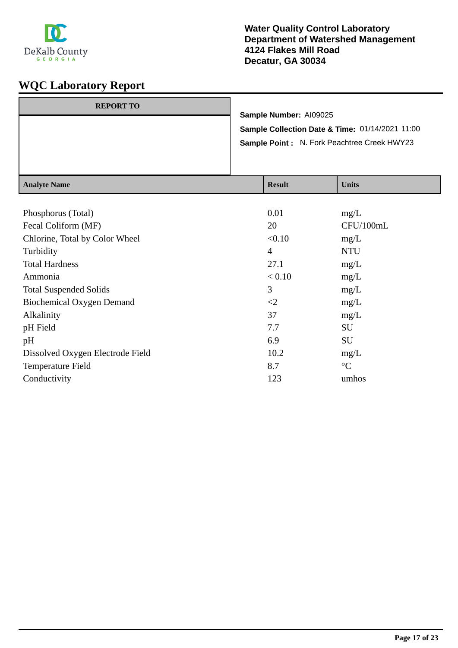

| <b>REPORT TO</b> |                                                                           |  |
|------------------|---------------------------------------------------------------------------|--|
|                  | Sample Number: AI09025<br>Sample Collection Date & Time: 01/14/2021 11:00 |  |
|                  |                                                                           |  |
|                  | Sample Point: N. Fork Peachtree Creek HWY23                               |  |
|                  |                                                                           |  |
|                  |                                                                           |  |
|                  | -- -                                                                      |  |

| <b>Result</b>  | <b>Units</b>    |
|----------------|-----------------|
|                |                 |
| 0.01           | mg/L            |
| 20             | CFU/100mL       |
| < 0.10         | mg/L            |
| $\overline{4}$ | <b>NTU</b>      |
| 27.1           | mg/L            |
| < 0.10         | mg/L            |
| 3              | mg/L            |
| $\leq$ 2       | mg/L            |
| 37             | mg/L            |
| 7.7            | <b>SU</b>       |
| 6.9            | SU              |
| 10.2           | mg/L            |
| 8.7            | $\rm ^{\circ}C$ |
| 123            | umhos           |
|                |                 |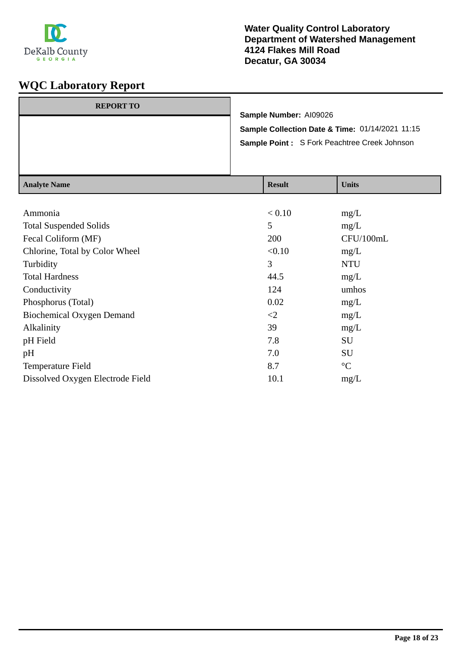

| <b>REPORT TO</b> | Sample Number: A109026                                                                                 |
|------------------|--------------------------------------------------------------------------------------------------------|
|                  | Sample Collection Date & Time: 01/14/2021 11:15<br><b>Sample Point: S Fork Peachtree Creek Johnson</b> |
|                  |                                                                                                        |

| <b>Result</b> | <b>Units</b>    |
|---------------|-----------------|
|               |                 |
| < 0.10        | mg/L            |
| 5             | mg/L            |
| 200           | CFU/100mL       |
| < 0.10        | mg/L            |
| 3             | <b>NTU</b>      |
| 44.5          | mg/L            |
| 124           | umhos           |
| 0.02          | mg/L            |
| $\leq$        | mg/L            |
| 39            | mg/L            |
| 7.8           | SU              |
| 7.0           | SU              |
| 8.7           | $\rm ^{\circ}C$ |
| 10.1          | mg/L            |
|               |                 |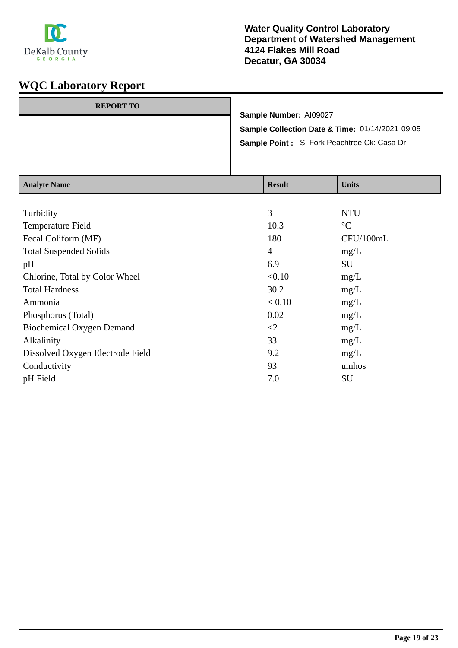

| <b>REPORT TO</b> |                                                 |
|------------------|-------------------------------------------------|
|                  | Sample Number: AI09027                          |
|                  | Sample Collection Date & Time: 01/14/2021 09:05 |
|                  | Sample Point: S. Fork Peachtree Ck: Casa Dr     |
|                  |                                                 |
|                  |                                                 |

| <b>Analyte Name</b>              | <b>Result</b>  | <b>Units</b>    |
|----------------------------------|----------------|-----------------|
|                                  |                |                 |
| Turbidity                        | 3              | <b>NTU</b>      |
| Temperature Field                | 10.3           | $\rm ^{\circ}C$ |
| Fecal Coliform (MF)              | 180            | CFU/100mL       |
| <b>Total Suspended Solids</b>    | $\overline{4}$ | mg/L            |
| pH                               | 6.9            | SU              |
| Chlorine, Total by Color Wheel   | < 0.10         | mg/L            |
| <b>Total Hardness</b>            | 30.2           | mg/L            |
| Ammonia                          | < 0.10         | mg/L            |
| Phosphorus (Total)               | 0.02           | mg/L            |
| <b>Biochemical Oxygen Demand</b> | $\leq$ 2       | mg/L            |
| Alkalinity                       | 33             | mg/L            |
| Dissolved Oxygen Electrode Field | 9.2            | mg/L            |
| Conductivity                     | 93             | umhos           |
| pH Field                         | 7.0            | SU              |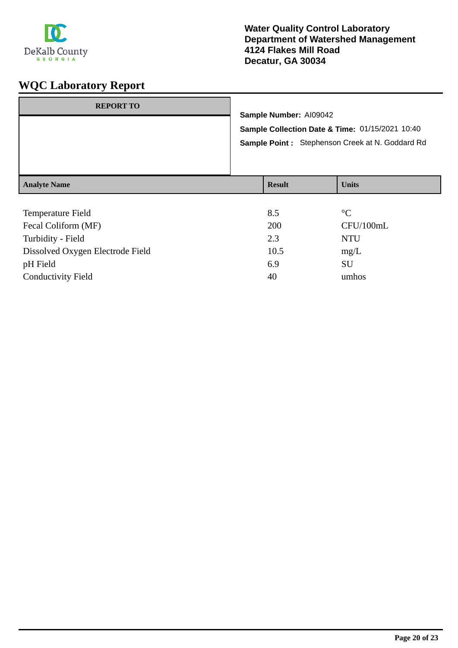

| <b>REPORT TO</b>    | Sample Number: Al09042<br>Sample Collection Date & Time: 01/15/2021 10:40<br>Sample Point: Stephenson Creek at N. Goddard Rd |               |              |
|---------------------|------------------------------------------------------------------------------------------------------------------------------|---------------|--------------|
| <b>Analyte Name</b> |                                                                                                                              | <b>Result</b> | <b>Units</b> |
| Tamparatura Eald    |                                                                                                                              | $O \subseteq$ | $\sim$       |

| 8.5  | $\rm ^{\circ}C$ |
|------|-----------------|
| 200  | CFU/100mL       |
| 2.3  | <b>NTU</b>      |
| 10.5 | mg/L            |
| 6.9  | SU              |
| 40   | umhos           |
|      |                 |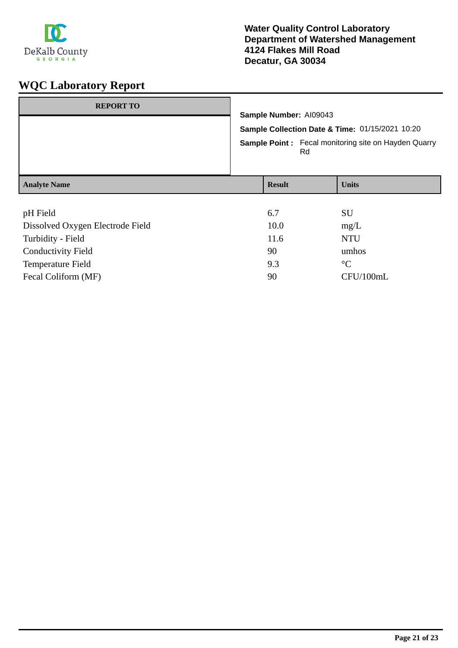

| <b>REPORT TO</b>                 | Sample Number: AI09043<br>Sample Collection Date & Time: 01/15/2021 10:20<br><b>Sample Point:</b> Fecal monitoring site on Hayden Quarry<br>Rd |               |  |              |
|----------------------------------|------------------------------------------------------------------------------------------------------------------------------------------------|---------------|--|--------------|
|                                  |                                                                                                                                                |               |  |              |
|                                  |                                                                                                                                                |               |  |              |
| <b>Analyte Name</b>              |                                                                                                                                                | <b>Result</b> |  | <b>Units</b> |
|                                  |                                                                                                                                                |               |  |              |
| pH Field                         |                                                                                                                                                | 6.7           |  | SU           |
| Dissolved Oxygen Electrode Field |                                                                                                                                                | 10.0          |  | mg/L         |
| Turbidity - Field                |                                                                                                                                                | 11.6          |  | <b>NTU</b>   |

| <b>Conductivity Field</b> | 90  | umhos     |
|---------------------------|-----|-----------|
| Temperature Field         | 9.3 | $\circ$   |
| Fecal Coliform (MF)       | 90  | CFU/100mL |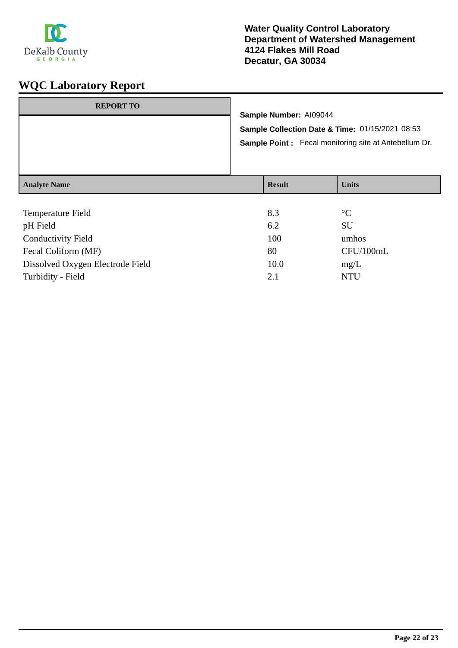

|                     | Sample Number: AI09044<br>Sample Collection Date & Time: 01/15/2021 08:53<br><b>Sample Point:</b> Fecal monitoring site at Antebellum Dr. |              |  |  |
|---------------------|-------------------------------------------------------------------------------------------------------------------------------------------|--------------|--|--|
| <b>Analyte Name</b> | <b>Result</b>                                                                                                                             | <b>Units</b> |  |  |

| <b>Temperature Field</b>         | 8.3  | $\rm ^{\circ}C$ |
|----------------------------------|------|-----------------|
| pH Field                         | 6.2  | SU              |
| <b>Conductivity Field</b>        | 100  | umhos           |
| Fecal Coliform (MF)              | 80   | CFU/100mL       |
| Dissolved Oxygen Electrode Field | 10.0 | mg/L            |
| Turbidity - Field                | 2.1  | NTU             |